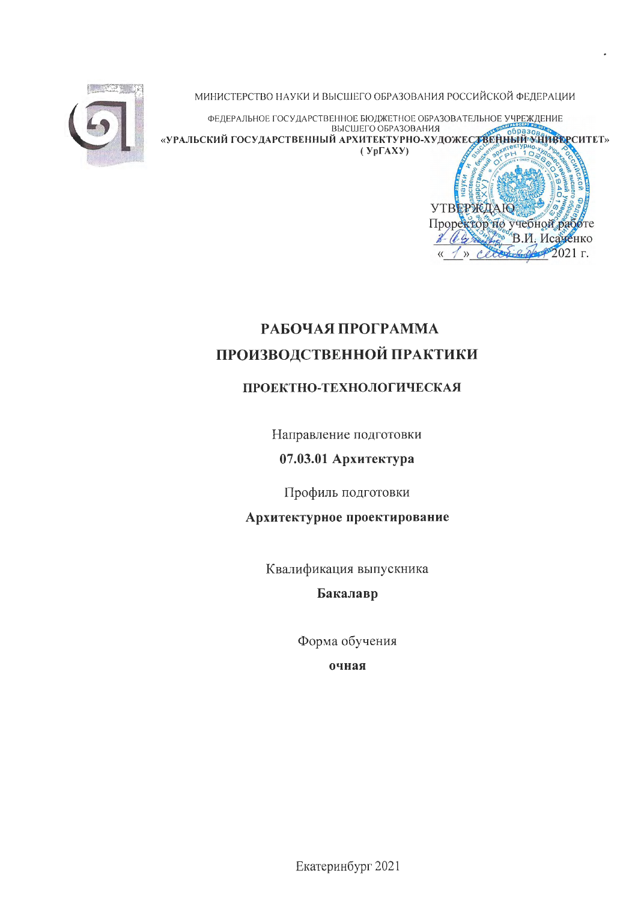МИНИСТЕРСТВО НАУКИ И ВЫСШЕГО ОБРАЗОВАНИЯ РОССИЙСКОЙ ФЕДЕРАЦИИ



ФЕДЕРАЛЬНОЕ ГОСУДАРСТВЕННОЕ БЮДЖЕТНОЕ ОБРАЗОВАТЕЛЬНОЕ УЧРЕЖДЕНИЕ ВЫСШЕГО ОБРАЗОВАНИЯ «УРАЛЬСКИЙ ГОСУДАРСТВЕННЫЙ АРХИТЕКТУРНО-ХУДОЖЕСТВЕННЫЙ УНИВЕРСИТЕТ»  $(Yp\Gamma A X Y)$ 



# РАБОЧАЯ ПРОГРАММА ПРОИЗВОДСТВЕННОЙ ПРАКТИКИ

## ПРОЕКТНО-ТЕХНОЛОГИЧЕСКАЯ

Направление подготовки

07.03.01 Архитектура

Профиль подготовки

Архитектурное проектирование

Квалификация выпускника

Бакалавр

Форма обучения

очная

Екатеринбург 2021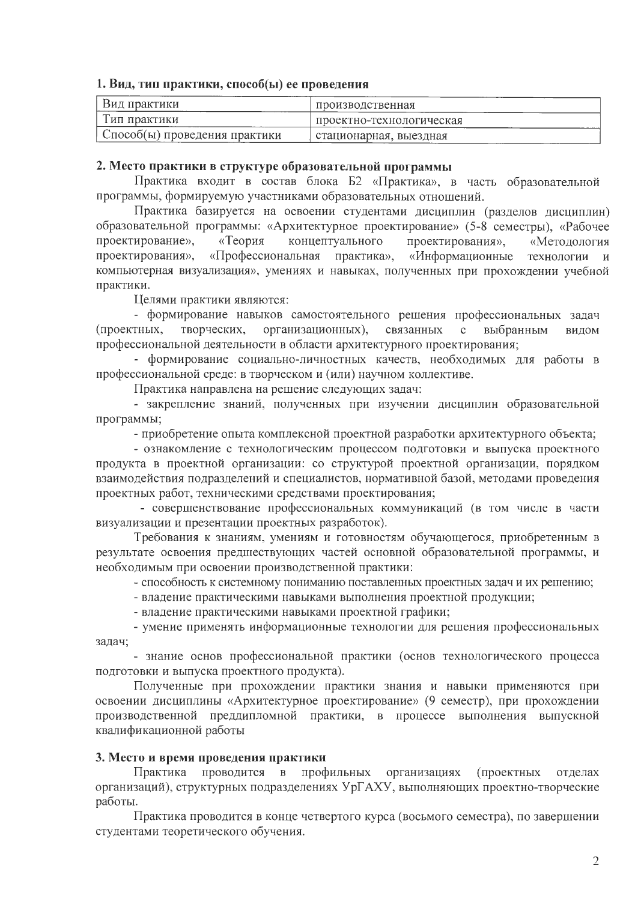#### 1. Вид, тип практики, способ(ы) ее проведения

| Вид практики                    | производственная         |
|---------------------------------|--------------------------|
| І ип практики                   | проектно-технологическая |
| ) Способ(ы) проведения практики | стационарная, выездная   |

#### 2. Место практики в структуре образовательной программы

Практика входит в состав блока Б2 «Практика», в часть образовательной программы, формируемую участниками образовательных отношений.

Практика базируется на освоении студентами дисциплин (разделов дисциплин) образовательной программы: «Архитектурное проектирование» (5-8 семестры), «Рабочее проектирование», «Теория концептуального проектирования», «Методология «Профессиональная практика», проектирования», «Информационные технологии и компьютерная визуализация», умениях и навыках, полученных при прохождении учебной практики.

Целями практики являются:

- формирование навыков самостоятельного решения профессиональных задач (проектных, творческих, организационных), связанных  $\mathbf{c}$ выбранным видом профессиональной деятельности в области архитектурного проектирования;

- формирование социально-личностных качеств, необходимых для работы в профессиональной среде: в творческом и (или) научном коллективе.

Практика направлена на решение следующих задач:

- закрепление знаний, полученных при изучении дисциплин образовательной программы;

- приобретение опыта комплексной проектной разработки архитектурного объекта;

- ознакомление с технологическим процессом подготовки и выпуска проектного продукта в проектной организации: со структурой проектной организации, порядком взаимодействия подразделений и специалистов, нормативной базой, методами проведения проектных работ, техническими средствами проектирования;

- совершенствование профессиональных коммуникаций (в том числе в части визуализации и презентации проектных разработок).

Требования к знаниям, умениям и готовностям обучающегося, приобретенным в результате освоения предшествующих частей основной образовательной программы, и необходимым при освоении производственной практики:

- способность к системному пониманию поставленных проектных задач и их решению;

- владение практическими навыками выполнения проектной продукции;

- владение практическими навыками проектной графики;

- умение применять информационные технологии для решения профессиональных задач;

- знание основ профессиональной практики (основ технологического процесса подготовки и выпуска проектного продукта).

Полученные при прохождении практики знания и навыки применяются при освоении дисциплины «Архитектурное проектирование» (9 семестр), при прохождении производственной преддипломной практики, в процессе выполнения выпускной квалификационной работы

#### 3. Место и время проведения практики

Практика проводится профильных организациях  $\, {\bf B} \,$ (проектных отделах организаций), структурных подразделениях УрГАХУ, выполняющих проектно-творческие работы.

Практика проводится в конце четвертого курса (восьмого семестра), по завершении студентами теоретического обучения.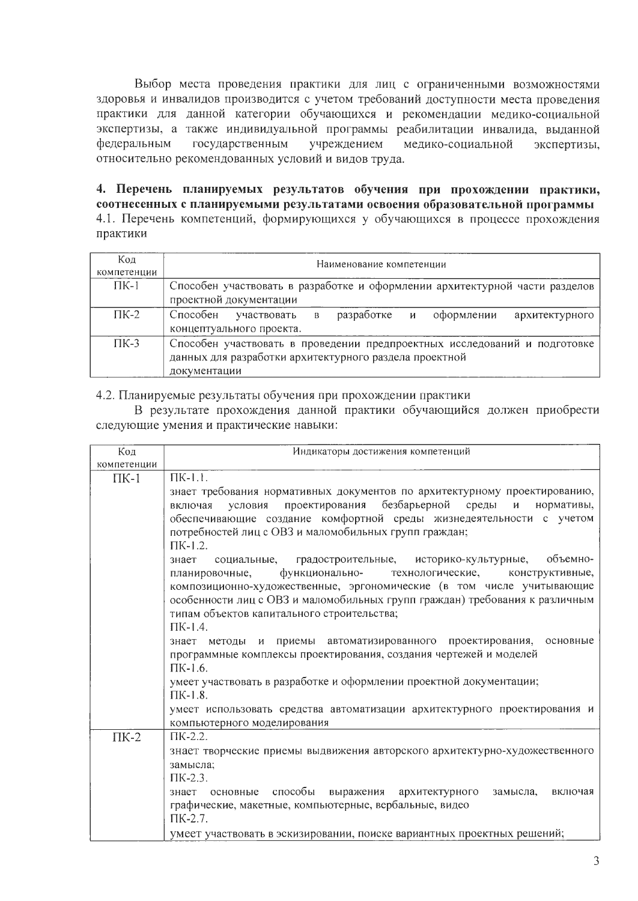Выбор места проведения практики для лиц с ограниченными возможностями здоровья и инвалидов производится с учетом требований доступности места проведения практики для данной категории обучающихся и рекомендации медико-социальной экспертизы, а также индивидуальной программы реабилитации инвалида, выданной федеральным государственным учреждением медико-социальной экспертизы, относительно рекомендованных условий и видов труда.

4. Перечень планируемых результатов обучения при прохождении практики, соотнесенных с планируемыми результатами освоения образовательной программы 4.1. Перечень компетенций, формирующихся у обучающихся в процессе прохождения практики

| Код<br>компетенции | Наименование компетенции                                                                                                                            |  |  |  |
|--------------------|-----------------------------------------------------------------------------------------------------------------------------------------------------|--|--|--|
| $\Pi K-1$          | Способен участвовать в разработке и оформлении архитектурной части разделов<br>проектной документации                                               |  |  |  |
| $\Gamma$ K-2       | Способен участвовать<br>разработке и<br>оформлении<br>архитектурного<br>R<br>концептуального проекта.                                               |  |  |  |
| $\Gamma$ K-3       | Способен участвовать в проведении предпроектных исследований и подготовке<br>данных для разработки архитектурного раздела проектной<br>документации |  |  |  |

4.2. Планируемые результаты обучения при прохождении практики

В результате прохождения данной практики обучающийся должен приобрести следующие умения и практические навыки:

| Код         | Индикаторы достижения компетенций                                                                                                                                                                                     |  |  |
|-------------|-----------------------------------------------------------------------------------------------------------------------------------------------------------------------------------------------------------------------|--|--|
| компетенции |                                                                                                                                                                                                                       |  |  |
| $\Pi K-1$   | $\overline{\Pi}$ K-1.1.                                                                                                                                                                                               |  |  |
|             | знает требования нормативных документов по архитектурному проектированию,<br>условия проектирования безбарьерной среды и нормативы,<br>включая<br>обеспечивающие создание комфортной среды жизнедеятельности с учетом |  |  |
|             | потребностей лиц с ОВЗ и маломобильных групп граждан;<br>$\Pi$ K-1.2.                                                                                                                                                 |  |  |
|             | знает социальные, градостроительные, историко-культурные,<br>объемно-<br>функционально- технологические, конструктивные,<br>планировочные,<br>композиционно-художественные, эргономические (в том числе учитывающие   |  |  |
|             | особенности лиц с ОВЗ и маломобильных групп граждан) требования к различным<br>типам объектов капитального строительства;<br>$\Pi$ K-1.4.                                                                             |  |  |
|             | знает методы и приемы автоматизированного проектирования, основные<br>программные комплексы проектирования, создания чертежей и моделей                                                                               |  |  |
|             | $\Pi$ K-1.6.                                                                                                                                                                                                          |  |  |
|             | умеет участвовать в разработке и оформлении проектной документации;<br>$\Pi$ K-1.8.                                                                                                                                   |  |  |
|             | умеет использовать средства автоматизации архитектурного проектирования и<br>компьютерного моделирования                                                                                                              |  |  |
| $\Pi K-2$   | $\Pi K-2.2$ .                                                                                                                                                                                                         |  |  |
|             | знает творческие приемы выдвижения авторского архитектурно-художественного                                                                                                                                            |  |  |
|             | замысла;                                                                                                                                                                                                              |  |  |
|             | $\Pi$ K-2.3.                                                                                                                                                                                                          |  |  |
|             | знает основные способы выражения архитектурного<br>замысла,<br>включая                                                                                                                                                |  |  |
|             | графические, макетные, компьютерные, вербальные, видео                                                                                                                                                                |  |  |
|             | $\Pi K-2.7$ .                                                                                                                                                                                                         |  |  |
|             | умеет участвовать в эскизировании, поиске вариантных проектных решений;                                                                                                                                               |  |  |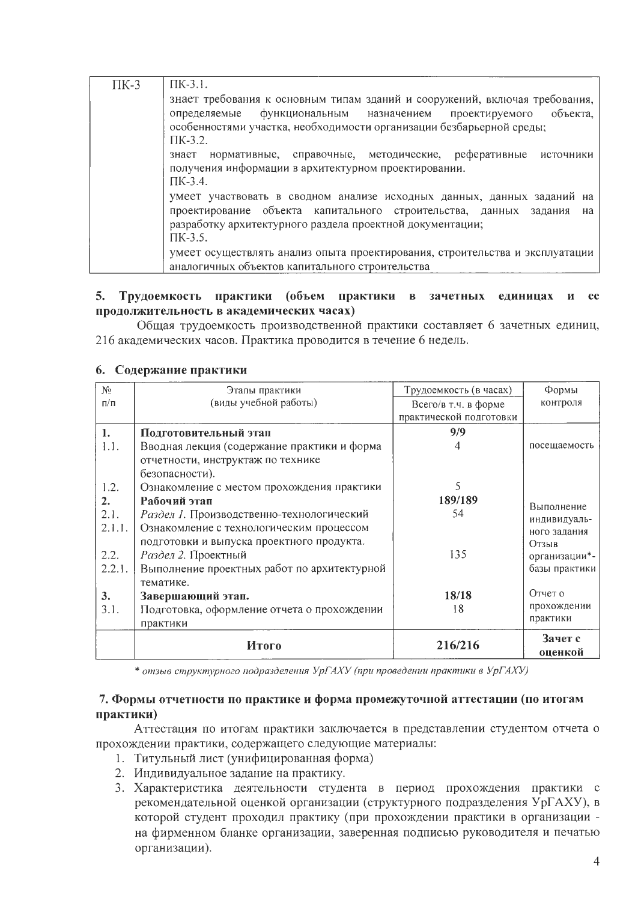| $\Pi K-3$ | $\Pi$ K-3.1.                                                                 |
|-----------|------------------------------------------------------------------------------|
|           | знает требования к основным типам зданий и сооружений, включая требования,   |
|           | функциональным назначением проектируемого объекта,<br>определяемые           |
|           | особенностями участка, необходимости организации безбарьерной среды;         |
|           | $\Pi$ K-3.2.                                                                 |
|           | нормативные, справочные, методические, реферативные источники<br>знает       |
|           | получения информации в архитектурном проектировании.                         |
|           | $\Pi$ K-3.4.                                                                 |
|           | умеет участвовать в сводном анализе исходных данных, данных заданий на       |
|           | проектирование объекта капитального строительства, данных задания<br>на      |
|           | разработку архитектурного раздела проектной документации;                    |
|           | $\Pi K-3.5$ .                                                                |
|           | умеет осуществлять анализ опыта проектирования, строительства и эксплуатации |
|           | аналогичных объектов капитального строительства                              |

#### 5. Трудоемкость практики (объем практики в зачетных единицах и ее продолжительность в академических часах)

Общая трудоемкость производственной практики составляет 6 зачетных единиц, 216 академических часов. Практика проводится в течение 6 недель.

#### 6. Содержание практики

| $N_2$     | Этапы практики                              | Трудоемкость (в часах)  | Формы              |
|-----------|---------------------------------------------|-------------------------|--------------------|
| $\Pi/\Pi$ | (виды учебной работы)                       | Всего/в т.ч. в форме    | контроля           |
|           |                                             | практической подготовки |                    |
| 1.        | Подготовительный этап                       | 9/9                     |                    |
| 1.1.      | Вводная лекция (содержание практики и форма | 4                       | посещаемость       |
|           | отчетности, инструктаж по технике           |                         |                    |
|           | безопасности).                              |                         |                    |
| 1.2.      | Ознакомление с местом прохождения практики  | 5                       |                    |
| 2.        | Рабочий этап                                | 189/189                 | Выполнение         |
| 2.1.      | Раздел 1. Производственно-технологический   | 54                      | индивидуаль-       |
| 2.1.1.    | Ознакомление с технологическим процессом    |                         | ного задания       |
|           | подготовки и выпуска проектного продукта.   |                         | Отзыв              |
| 2.2.      | Раздел 2. Проектный                         | 135                     | организации*-      |
| 2.2.1.    | Выполнение проектных работ по архитектурной |                         | базы практики      |
|           | тематике.                                   |                         |                    |
| 3.        | Завершающий этап.                           | 18/18                   | Отчет о            |
| 3.1.      | Подготовка, оформление отчета о прохождении | 18                      | прохождении        |
|           | практики                                    |                         | практики           |
|           | Итого                                       | 216/216                 | Зачет с<br>оценкой |

\* отзыв структурного подразделения УрГАХУ (при проведении практики в УрГАХУ)

#### 7. Формы отчетности по практике и форма промежуточной аттестации (по итогам практики)

Аттестация по итогам практики заключается в представлении студентом отчета о прохождении практики, содержащего следующие материалы:

- 1. Титульный лист (унифицированная форма)
- 2. Индивидуальное задание на практику.
- 3. Характеристика деятельности студента в период прохождения практики с рекомендательной оценкой организации (структурного подразделения УрГАХУ), в которой студент проходил практику (при прохождении практики в организации на фирменном бланке организации, заверенная подписью руководителя и печатью организации).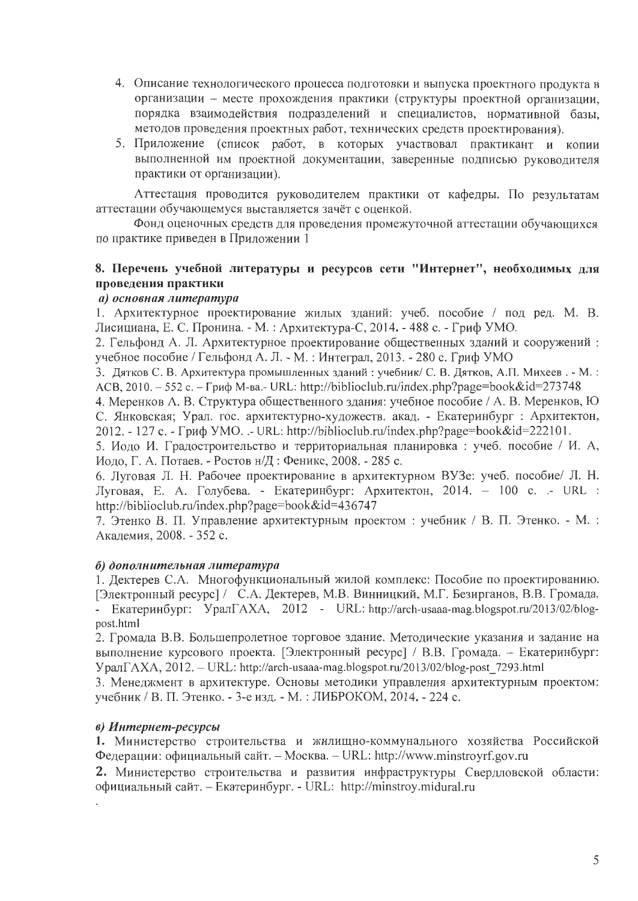- 4. Описание технологического процесса подготовки и выпуска проектного продукта в организации - месте прохождения практики (структуры проектной организации, порядка взаимодействия подразделений и специалистов, нормативной базы, методов проведения проектных работ, технических средств проектирования).
- 5. Приложение (список работ, в которых участвовал практикант и копии выполненной им проектной документации, заверенные подписью руководителя практики от организации).

Аттестация проводится руководителем практики от кафедры. По результатам аттестации обучающемуся выставляется зачёт с оценкой.

Фонд оценочных средств для проведения промежуточной аттестации обучающихся по практике приведен в Приложении 1

### 8. Перечень учебной литературы и ресурсов сети "Интернет", необходимых для проведения практики

#### а) основная литература

1. Архитектурное проектирование жилых зданий: учеб. пособие / под ред. М. В. Лисициана, Е. С. Пронина. - М. : Архитектура-С, 2014. - 488 с. - Гриф УМО.

2. Гельфонд А. Л. Архитектурное проектирование общественных зданий и сооружений: учебное пособие / Гельфонд А. Л. - М. : Интеграл, 2013. - 280 с. Гриф УМО

3. Дятков С. В. Архитектура промышленных зданий: учебник/ С. В. Дятков, А.П. Михеев. - М.: ACB, 2010. - 552 с. - Гриф М-ва.- URL: http://biblioclub.ru/index.php?page=book&id=273748

4. Меренков А. В. Структура общественного здания: учебное пособие / А. В. Меренков, Ю С. Янковская; Урал. гос. архитектурно-художеств. акад. - Екатеринбург : Архитектон, 2012. - 127 с. - Гриф УМО. .- URL: http://biblioclub.ru/index.php?page=book&id=222101.

5. Иодо И. Градостроительство и территориальная планировка: учеб. пособие / И. А, Иодо, Г. А. Потаев. - Ростов н/Д: Феникс, 2008. - 285 с.

6. Луговая Л. Н. Рабочее проектирование в архитектурном ВУЗе: учеб. пособие/ Л. Н. Луговая, Е. А. Голубева. - Екатеринбург: Архитектон, 2014. - 100 с. .- URL : http://biblioclub.ru/index.php?page=book&id=436747

7. Этенко В. П. Управление архитектурным проектом: учебник / В. П. Этенко. - М.: Академия, 2008. - 352 с.

#### б) дополнительная литература

1. Дектерев С.А. Многофункциональный жилой комплекс: Пособие по проектированию. [Электронный ресурс] / С.А. Дектерев, М.В. Винницкий, М.Г. Безирганов, В.В. Громада. - Екатеринбург: УралГАХА, 2012 - URL: http://arch-usaaa-mag.blogspot.ru/2013/02/blogpost.html

2. Громада В.В. Большепролетное торговое здание. Методические указания и задание на выполнение курсового проекта. [Электронный ресурс] / В.В. Громада. - Екатеринбург: УралГАХА, 2012. - URL: http://arch-usaaa-mag.blogspot.ru/2013/02/blog-post 7293.html

3. Менеджмент в архитектуре. Основы методики управления архитектурным проектом: учебник / В. П. Этенко. - 3-е изд. - М. : ЛИБРОКОМ, 2014. - 224 с.

#### в) Интернет-ресурсы

1. Министерство строительства и жилищно-коммунального хозяйства Российской Федерации: официальный сайт. - Москва. - URL: http://www.minstroyrf.gov.ru

2. Министерство строительства и развития инфраструктуры Свердловской области: официальный сайт. - Екатеринбург. - URL: http://minstroy.midural.ru